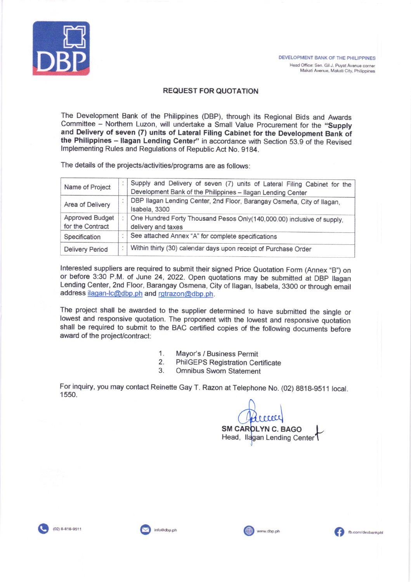

#### REQUEST FOR QUOTATION

The Development Bank of the Philippines (DBP), through its Regional Bids and Awards Committee - Northern Luzon, will undertake a Small Value Procurement for the "Supply and Delivery of seven (7) units of Lateral Filing Cabinet for the Development Bank of the Philippines - Ilagan Lending Center" in accordance with Section 53.9 of the Revised lmplementing Rules and Regulations of Republic Act No. 9184.

The details of the projects/activities/programs are as follows

| Supply and Delivery of seven (7) units of Lateral Filing Cabinet for the<br>Development Bank of the Philippines - Ilagan Lending Center |
|-----------------------------------------------------------------------------------------------------------------------------------------|
| DBP Ilagan Lending Center, 2nd Floor, Barangay Osmeña, City of Ilagan,<br>Isabela, 3300                                                 |
| One Hundred Forty Thousand Pesos Only(140,000.00) inclusive of supply,<br>delivery and taxes                                            |
| See attached Annex "A" for complete specifications                                                                                      |
| Within thirty (30) calendar days upon receipt of Purchase Order                                                                         |
|                                                                                                                                         |

Interested suppliers are required to submit their signed Price Quotation Form (Annex "B") on or before 3:30 P.M. of June 24, 2022. Open quotations may be submitted at DBP Ilagan Lending Center, 2nd Floor, Barangay Osmena, City of llagan, lsabela, 3300 or through email address ilagan-lc@dbp.ph and rgtrazon@dbp.ph.

The project shall be awarded to the supplier determined to have submitted the single or lowest and responsive quotation. The proponent with the lowest and responsive quotation shall be required to submit to the BAC certified copies of the following documents before award of the project/contract:

- 
- 1. Mayor's / Business Permit<br>2. PhilGEPS Registration Certificate<br>3. Omnibus Sworn Statement
- 

For inquiry, you may contact Reinette Gay T. Razon at Telephone No. (02) 8818-9511 local. 1550.

SM CAR<mark>OLYN C. BAGO</mark> Head, <sup>I</sup> (MMCL)<br>LYN C. BAGO<br>an Lending Center



(02) 8-818-9511 **110@dbp.ph** info@dbp.ph info@edbp.ph **9.** info@edbp.ph info@edbp.ph info@edbp.ph info@edbp.ph info@edbp.ph info@edbp.ph info@edbp.ph info@edbp.ph info@edbp.ph info@edbp.ph info@edbp.ph info@edbp.ph info@ed

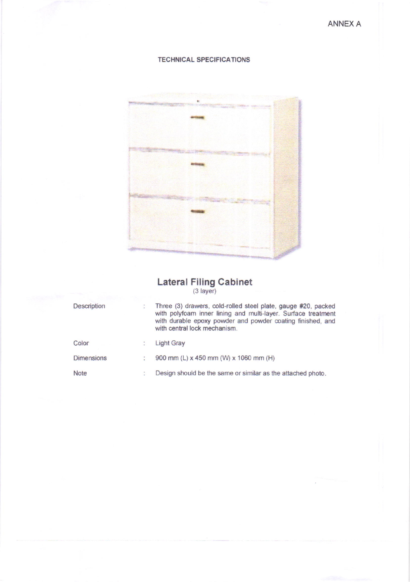## TECHNICAL SPECIFICATIONS



### Lateral Filing Cabinet (3 layer)

| Description | Three (3) drawers, cold-rolled steel plate, gauge #20, packed<br>with polyfoam inner lining and multi-layer. Surface treatment<br>with durable epoxy powder and powder coating finished, and<br>with central lock mechanism. |
|-------------|------------------------------------------------------------------------------------------------------------------------------------------------------------------------------------------------------------------------------|
| Color       | <b>Light Gray</b>                                                                                                                                                                                                            |
| Dimensions  | 900 mm (L) x 450 mm (W) x 1060 mm (H)                                                                                                                                                                                        |
| <b>Note</b> | Design should be the same or similar as the attached photo.                                                                                                                                                                  |